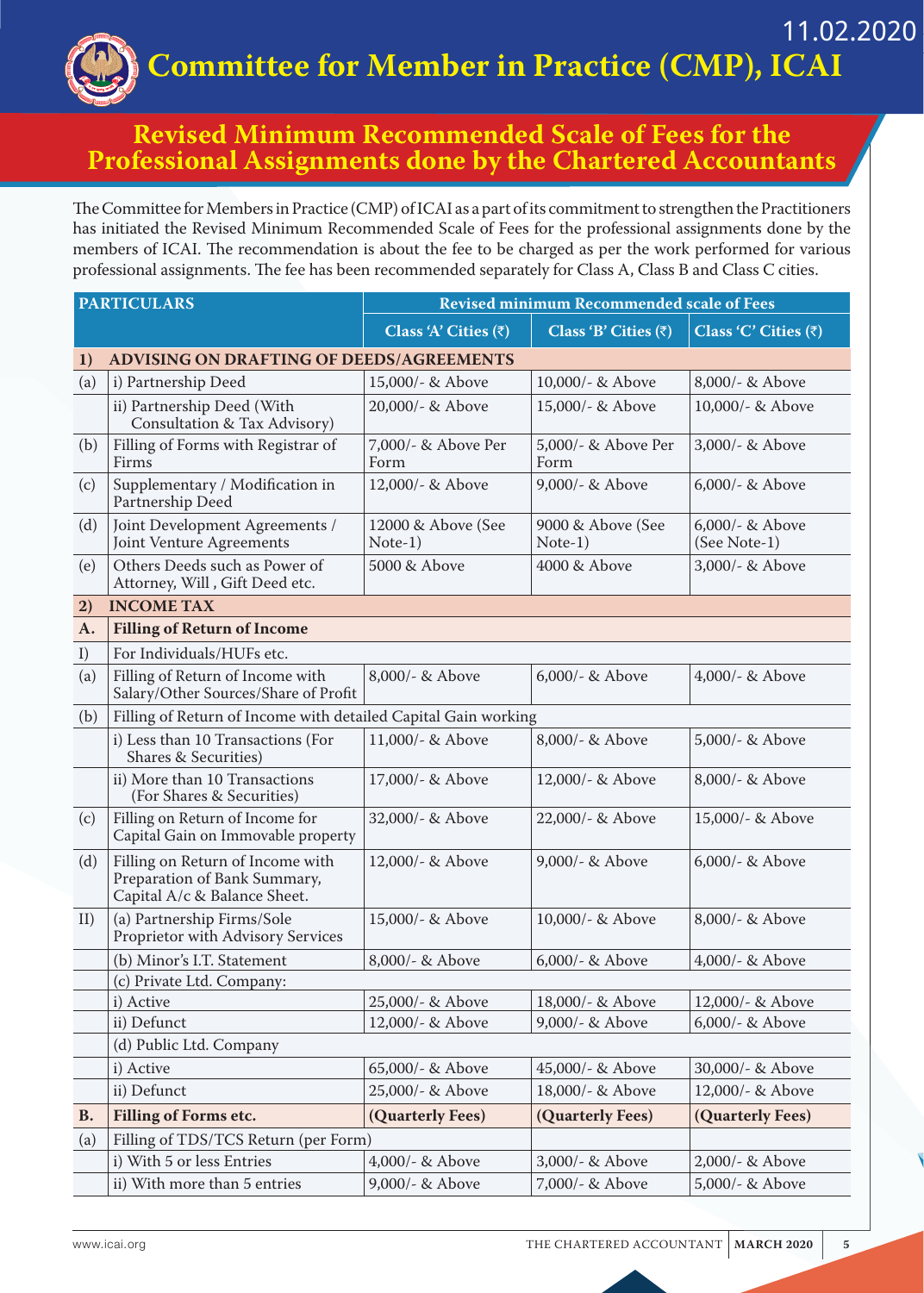**Committee for Member in Practice (CMP), ICAI** 11.02.2020

## **Revised Minimum Recommended Scale of Fees for the Professional Assignments done by the Chartered Accountants**

The Committee for Members in Practice (CMP) of ICAI as a part of its commitment to strengthen the Practitioners has initiated the Revised Minimum Recommended Scale of Fees for the professional assignments done by the members of ICAI. The recommendation is about the fee to be charged as per the work performed for various professional assignments. The fee has been recommended separately for Class A, Class B and Class C cities.

| <b>PARTICULARS</b> |                                                                                                  | <b>Revised minimum Recommended scale of Fees</b> |                              |                                 |  |
|--------------------|--------------------------------------------------------------------------------------------------|--------------------------------------------------|------------------------------|---------------------------------|--|
|                    |                                                                                                  | Class 'A' Cities $(\bar{z})$                     | Class 'B' Cities $(\bar{z})$ | Class 'C' Cities (₹)            |  |
| 1)                 | <b>ADVISING ON DRAFTING OF DEEDS/AGREEMENTS</b>                                                  |                                                  |                              |                                 |  |
| (a)                | i) Partnership Deed                                                                              | 15,000/- & Above                                 | 10,000/- & Above             | 8,000/- & Above                 |  |
|                    | ii) Partnership Deed (With<br>Consultation & Tax Advisory)                                       | 20,000/- & Above                                 | 15,000/- & Above             | 10,000/- & Above                |  |
| (b)                | Filling of Forms with Registrar of<br>Firms                                                      | 7,000/- & Above Per<br>Form                      | 5,000/- & Above Per<br>Form  | 3,000/- & Above                 |  |
| (c)                | Supplementary / Modification in<br>Partnership Deed                                              | 12,000/- & Above                                 | 9,000/- & Above              | 6,000/- & Above                 |  |
| (d)                | Joint Development Agreements /<br>Joint Venture Agreements                                       | 12000 & Above (See<br>$Note-1)$                  | 9000 & Above (See<br>Note-1) | 6,000/- & Above<br>(See Note-1) |  |
| (e)                | Others Deeds such as Power of<br>Attorney, Will, Gift Deed etc.                                  | 5000 & Above                                     | 4000 & Above                 | 3,000/- & Above                 |  |
| 2)                 | <b>INCOME TAX</b>                                                                                |                                                  |                              |                                 |  |
| $A_{\cdot}$        | <b>Filling of Return of Income</b>                                                               |                                                  |                              |                                 |  |
| I)                 | For Individuals/HUFs etc.                                                                        |                                                  |                              |                                 |  |
| (a)                | Filling of Return of Income with<br>Salary/Other Sources/Share of Profit                         | 8,000/- & Above                                  | 6,000/- & Above              | 4,000/- & Above                 |  |
| (b)                | Filling of Return of Income with detailed Capital Gain working                                   |                                                  |                              |                                 |  |
|                    | i) Less than 10 Transactions (For<br><b>Shares &amp; Securities)</b>                             | 11,000/- & Above                                 | 8,000/- & Above              | 5,000/- & Above                 |  |
|                    | ii) More than 10 Transactions<br>(For Shares & Securities)                                       | 17,000/- & Above                                 | 12,000/- & Above             | 8,000/- & Above                 |  |
| (c)                | Filling on Return of Income for<br>Capital Gain on Immovable property                            | 32,000/- & Above                                 | 22,000/- & Above             | 15,000/- & Above                |  |
| (d)                | Filling on Return of Income with<br>Preparation of Bank Summary,<br>Capital A/c & Balance Sheet. | 12,000/- & Above                                 | 9,000/- & Above              | $6,000/$ - & Above              |  |
| II)                | (a) Partnership Firms/Sole<br>Proprietor with Advisory Services                                  | 15,000/- & Above                                 | 10,000/- & Above             | 8,000/- & Above                 |  |
|                    | (b) Minor's I.T. Statement                                                                       | 8,000/- & Above                                  | $6,000/$ - & Above           | 4,000/- & Above                 |  |
|                    | (c) Private Ltd. Company:                                                                        |                                                  |                              |                                 |  |
|                    | i) Active                                                                                        | 25,000/- & Above                                 | 18,000/- & Above             | 12,000/- & Above                |  |
|                    | ii) Defunct                                                                                      | 12,000/- & Above                                 | 9,000/- & Above              | 6,000/- & Above                 |  |
|                    | (d) Public Ltd. Company                                                                          |                                                  |                              |                                 |  |
|                    | i) Active                                                                                        | 65,000/- & Above                                 | 45,000/- & Above             | 30,000/- & Above                |  |
|                    | ii) Defunct                                                                                      | 25,000/- & Above                                 | 18,000/- & Above             | 12,000/- & Above                |  |
| <b>B.</b>          | <b>Filling of Forms etc.</b>                                                                     | (Quarterly Fees)                                 | (Quarterly Fees)             | (Quarterly Fees)                |  |
| (a)                | Filling of TDS/TCS Return (per Form)                                                             |                                                  |                              |                                 |  |
|                    | i) With 5 or less Entries                                                                        | 4,000/- & Above                                  | 3,000/- & Above              | 2,000/- & Above                 |  |
|                    | ii) With more than 5 entries                                                                     | 9,000/- & Above                                  | 7,000/- & Above              | 5,000/- & Above                 |  |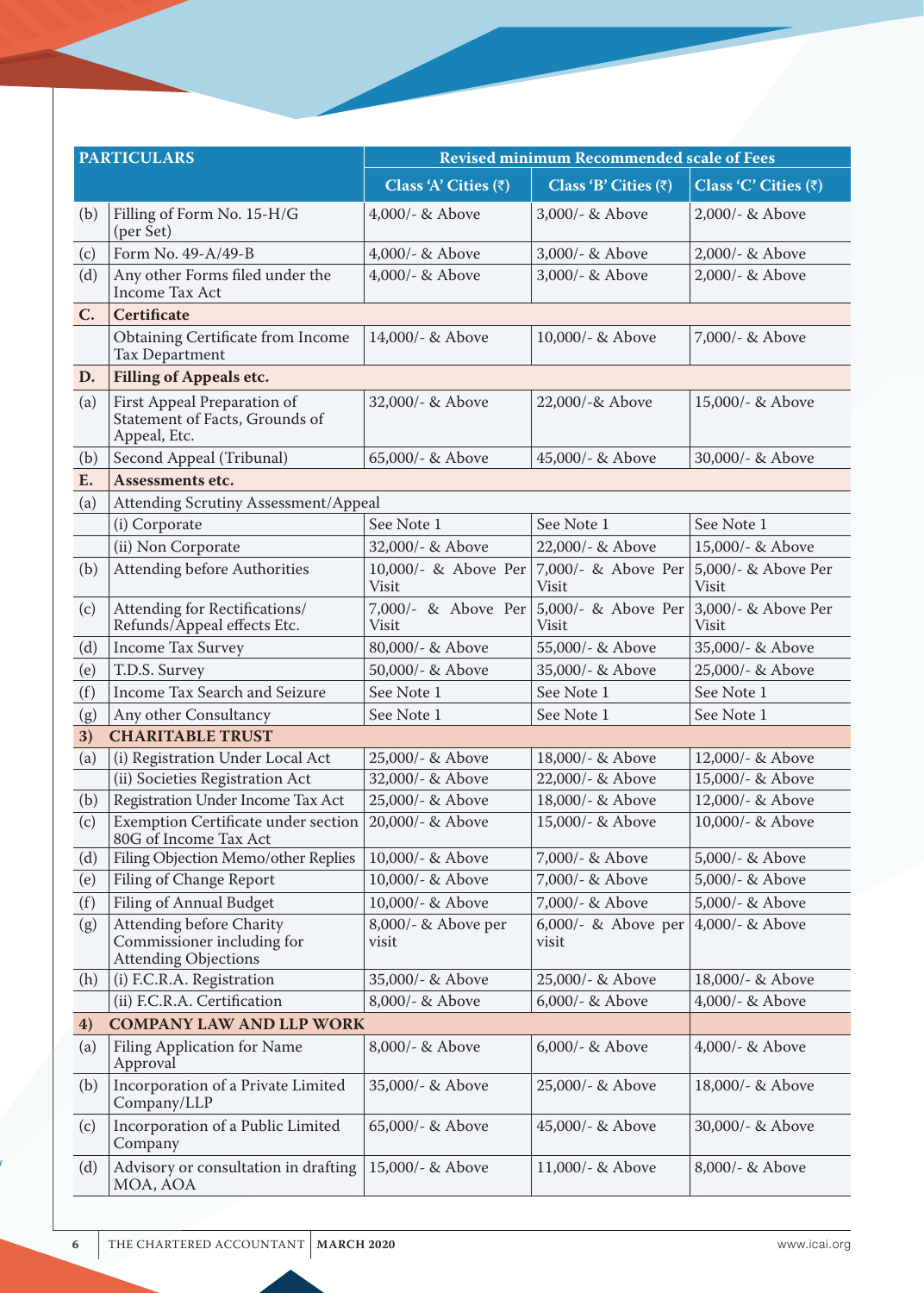| <b>PARTICULARS</b> |                                                                                       | <b>Revised minimum Recommended scale of Fees</b> |                                                        |                                     |  |
|--------------------|---------------------------------------------------------------------------------------|--------------------------------------------------|--------------------------------------------------------|-------------------------------------|--|
|                    |                                                                                       | Class 'A' Cities $(\bar{z})$                     | Class 'B' Cities $(\bar{z})$                           | Class 'C' Cities $(\bar{z})$        |  |
| (b)                | Filling of Form No. 15-H/G<br>(per Set)                                               | 4,000/- $&$ Above                                | $3,000/$ - & Above                                     | $2,000/$ - & Above                  |  |
| (c)                | Form No. 49-A/49-B                                                                    | $4,000/$ - & Above                               | 3,000/- & Above                                        | 2,000/- & Above                     |  |
| (d)                | Any other Forms filed under the<br>Income Tax Act                                     | 4,000/- & Above                                  | 3,000/- & Above                                        | 2,000/- & Above                     |  |
| $C_{\bullet}$      | <b>Certificate</b>                                                                    |                                                  |                                                        |                                     |  |
|                    | Obtaining Certificate from Income<br>Tax Department                                   | 14,000/- & Above                                 | 10,000/- & Above                                       | 7,000/- & Above                     |  |
| D.                 | <b>Filling of Appeals etc.</b>                                                        |                                                  |                                                        |                                     |  |
| (a)                | First Appeal Preparation of<br>Statement of Facts, Grounds of<br>Appeal, Etc.         | 32,000/- & Above                                 | 22,000/-& Above                                        | 15,000/- & Above                    |  |
| (b)                | Second Appeal (Tribunal)                                                              | 65,000/- & Above                                 | 45,000/- & Above                                       | 30,000/- & Above                    |  |
| E.                 | Assessments etc.                                                                      |                                                  |                                                        |                                     |  |
| (a)                | Attending Scrutiny Assessment/Appeal                                                  |                                                  |                                                        |                                     |  |
|                    | (i) Corporate                                                                         | See Note 1                                       | See Note 1                                             | See Note 1                          |  |
|                    | (ii) Non Corporate                                                                    | 32,000/- & Above                                 | 22,000/- & Above                                       | 15,000/- & Above                    |  |
| (b)                | <b>Attending before Authorities</b>                                                   | 10,000/- & Above Per<br>Visit                    | 7,000/- & Above Per<br>Visit                           | 5,000/- & Above Per<br><b>Visit</b> |  |
| (c)                | Attending for Rectifications/<br>Refunds/Appeal effects Etc.                          | 7,000/- & Above Per<br>Visit                     | 5,000/- & Above Per<br>Visit                           | 3,000/- & Above Per<br><b>Visit</b> |  |
| (d)                | <b>Income Tax Survey</b>                                                              | 80,000/- & Above                                 | 55,000/- & Above                                       | 35,000/- & Above                    |  |
| (e)                | T.D.S. Survey                                                                         | 50,000/- & Above                                 | 35,000/- & Above                                       | 25,000/- & Above                    |  |
| (f)                | Income Tax Search and Seizure                                                         | See Note 1                                       | See Note 1                                             | See Note 1                          |  |
| (g)                | Any other Consultancy                                                                 | See Note 1                                       | See Note 1                                             | See Note 1                          |  |
| 3)                 | <b>CHARITABLE TRUST</b>                                                               |                                                  |                                                        |                                     |  |
| (a)                | (i) Registration Under Local Act                                                      | 25,000/- & Above                                 | 18,000/- & Above                                       | 12,000/- & Above                    |  |
|                    | (ii) Societies Registration Act                                                       | 32,000/- & Above                                 | 22,000/- & Above                                       | 15,000/- & Above                    |  |
| (b)                | Registration Under Income Tax Act                                                     | 25,000/- & Above                                 | 18,000/- & Above                                       | 12,000/- & Above                    |  |
| (c)                | Exemption Certificate under section<br>80G of Income Tax Act                          | 20,000/- & Above                                 | 15,000/- & Above                                       | 10,000/- & Above                    |  |
| (d)                | Filing Objection Memo/other Replies                                                   | 10,000/- & Above                                 | 7,000/- & Above                                        | 5,000/- & Above                     |  |
| (e)                | Filing of Change Report                                                               | 10,000/- & Above                                 | 7,000/- & Above                                        | 5,000/- & Above                     |  |
| (f)                | Filing of Annual Budget                                                               | 10,000/- & Above                                 | 7,000/- & Above                                        | 5,000/- & Above                     |  |
| (g)                | Attending before Charity<br>Commissioner including for<br><b>Attending Objections</b> | 8,000/- & Above per<br>visit                     | 6,000/- & Above per $ 4,000\rangle$ - & Above<br>visit |                                     |  |
| (h)                | (i) F.C.R.A. Registration                                                             | 35,000/- & Above                                 | 25,000/- & Above                                       | 18,000/- & Above                    |  |
|                    | (ii) F.C.R.A. Certification                                                           | 8,000/- & Above                                  | 6,000/- & Above                                        | 4,000/- & Above                     |  |
| 4)                 | <b>COMPANY LAW AND LLP WORK</b>                                                       |                                                  |                                                        |                                     |  |
| (a)                | <b>Filing Application for Name</b><br>Approval                                        | 8,000/- & Above                                  | 6,000/- & Above                                        | 4,000/- & Above                     |  |
| (b)                | Incorporation of a Private Limited<br>Company/LLP                                     | 35,000/- & Above                                 | 25,000/- & Above                                       | 18,000/- & Above                    |  |
| (c)                | Incorporation of a Public Limited<br>Company                                          | 65,000/- & Above                                 | 45,000/- & Above                                       | 30,000/- & Above                    |  |
| (d)                | Advisory or consultation in drafting<br>MOA, AOA                                      | 15,000/- & Above                                 | $11,000/$ - & Above                                    | 8,000/- & Above                     |  |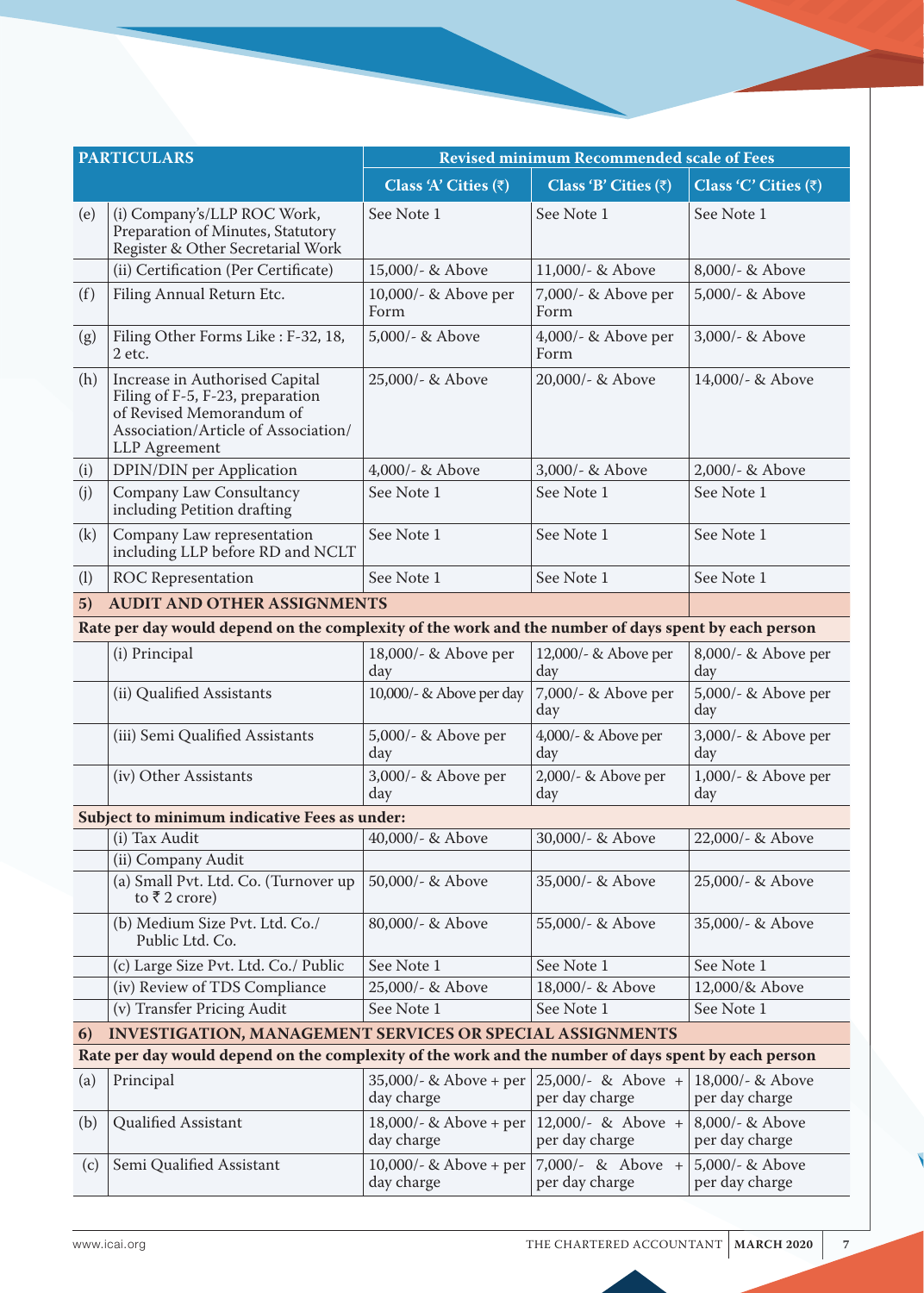| <b>PARTICULARS</b>                                                     |                                                                                                                                                        | <b>Revised minimum Recommended scale of Fees</b> |                                      |                                    |  |
|------------------------------------------------------------------------|--------------------------------------------------------------------------------------------------------------------------------------------------------|--------------------------------------------------|--------------------------------------|------------------------------------|--|
|                                                                        |                                                                                                                                                        | Class 'A' Cities $(\bar{z})$                     | Class 'B' Cities $(\bar{z})$         | Class 'C' Cities $(\bar{z})$       |  |
| (e)                                                                    | (i) Company's/LLP ROC Work,<br>Preparation of Minutes, Statutory<br>Register & Other Secretarial Work                                                  | See Note 1                                       | See Note 1                           | See Note 1                         |  |
|                                                                        | (ii) Certification (Per Certificate)                                                                                                                   | 15,000/- & Above                                 | 11,000/- & Above                     | 8,000/- & Above                    |  |
| (f)                                                                    | Filing Annual Return Etc.                                                                                                                              | 10,000/- & Above per<br>Form                     | 7,000/- & Above per<br>Form          | 5,000/- & Above                    |  |
| (g)                                                                    | Filing Other Forms Like: F-32, 18,<br>2 etc.                                                                                                           | 5,000/- & Above                                  | 4,000/- & Above per<br>Form          | 3,000/- & Above                    |  |
| (h)                                                                    | Increase in Authorised Capital<br>Filing of F-5, F-23, preparation<br>of Revised Memorandum of<br>Association/Article of Association/<br>LLP Agreement | 25,000/- & Above                                 | 20,000/- & Above                     | 14,000/- & Above                   |  |
| (i)                                                                    | DPIN/DIN per Application                                                                                                                               | 4,000/- & Above                                  | 3,000/- & Above                      | 2,000/- & Above                    |  |
| (i)                                                                    | Company Law Consultancy<br>including Petition drafting                                                                                                 | See Note 1                                       | See Note 1                           | See Note 1                         |  |
| (k)                                                                    | Company Law representation<br>including LLP before RD and NCLT                                                                                         | See Note 1                                       | See Note 1                           | See Note 1                         |  |
| (1)                                                                    | <b>ROC</b> Representation                                                                                                                              | See Note 1                                       | See Note 1                           | See Note 1                         |  |
| 5)                                                                     | <b>AUDIT AND OTHER ASSIGNMENTS</b>                                                                                                                     |                                                  |                                      |                                    |  |
|                                                                        | Rate per day would depend on the complexity of the work and the number of days spent by each person                                                    |                                                  |                                      |                                    |  |
|                                                                        | (i) Principal                                                                                                                                          | 18,000/- & Above per<br>day                      | 12,000/- & Above per<br>day          | 8,000/- & Above per<br>day         |  |
|                                                                        | (ii) Qualified Assistants                                                                                                                              | 10,000/- & Above per day                         | 7,000/- & Above per<br>day           | 5,000/- & Above per<br>day         |  |
|                                                                        | (iii) Semi Qualified Assistants                                                                                                                        | 5,000/- & Above per<br>day                       | 4,000/- & Above per<br>day           | 3,000/- & Above per<br>day         |  |
|                                                                        | (iv) Other Assistants                                                                                                                                  | 3,000/- & Above per<br>day                       | 2,000/- & Above per<br>day           | 1,000/- & Above per<br>day         |  |
|                                                                        | Subject to minimum indicative Fees as under:                                                                                                           |                                                  |                                      |                                    |  |
|                                                                        | (i) Tax Audit                                                                                                                                          | 40,000/- & Above                                 | 30,000/- & Above                     | 22,000/- & Above                   |  |
|                                                                        | (ii) Company Audit                                                                                                                                     |                                                  |                                      |                                    |  |
|                                                                        | (a) Small Pvt. Ltd. Co. (Turnover up<br>to $\bar{z}$ 2 crore)                                                                                          | 50,000/- & Above                                 | 35,000/- & Above                     | 25,000/- & Above                   |  |
|                                                                        | (b) Medium Size Pvt. Ltd. Co./<br>Public Ltd. Co.                                                                                                      | 80,000/- & Above                                 | 55,000/- & Above                     | 35,000/- & Above                   |  |
|                                                                        | (c) Large Size Pvt. Ltd. Co./ Public                                                                                                                   | See Note 1                                       | See Note 1                           | See Note 1                         |  |
|                                                                        | (iv) Review of TDS Compliance                                                                                                                          | 25,000/- & Above                                 | 18,000/- & Above                     | 12,000/& Above                     |  |
|                                                                        | (v) Transfer Pricing Audit                                                                                                                             | See Note 1                                       | See Note 1                           | See Note 1                         |  |
| <b>INVESTIGATION, MANAGEMENT SERVICES OR SPECIAL ASSIGNMENTS</b><br>6) |                                                                                                                                                        |                                                  |                                      |                                    |  |
|                                                                        | Rate per day would depend on the complexity of the work and the number of days spent by each person                                                    |                                                  |                                      |                                    |  |
| (a)                                                                    | Principal                                                                                                                                              | 35,000/- & Above + per<br>day charge             | 25,000/- & Above +<br>per day charge | 18,000/- & Above<br>per day charge |  |
| (b)                                                                    | Qualified Assistant                                                                                                                                    | 18,000/- & Above + per<br>day charge             | 12,000/- & Above +<br>per day charge | 8,000/- & Above<br>per day charge  |  |
| (c)                                                                    | Semi Qualified Assistant                                                                                                                               | 10,000/- & Above + per<br>day charge             | 7,000/- & Above +<br>per day charge  | 5,000/- & Above<br>per day charge  |  |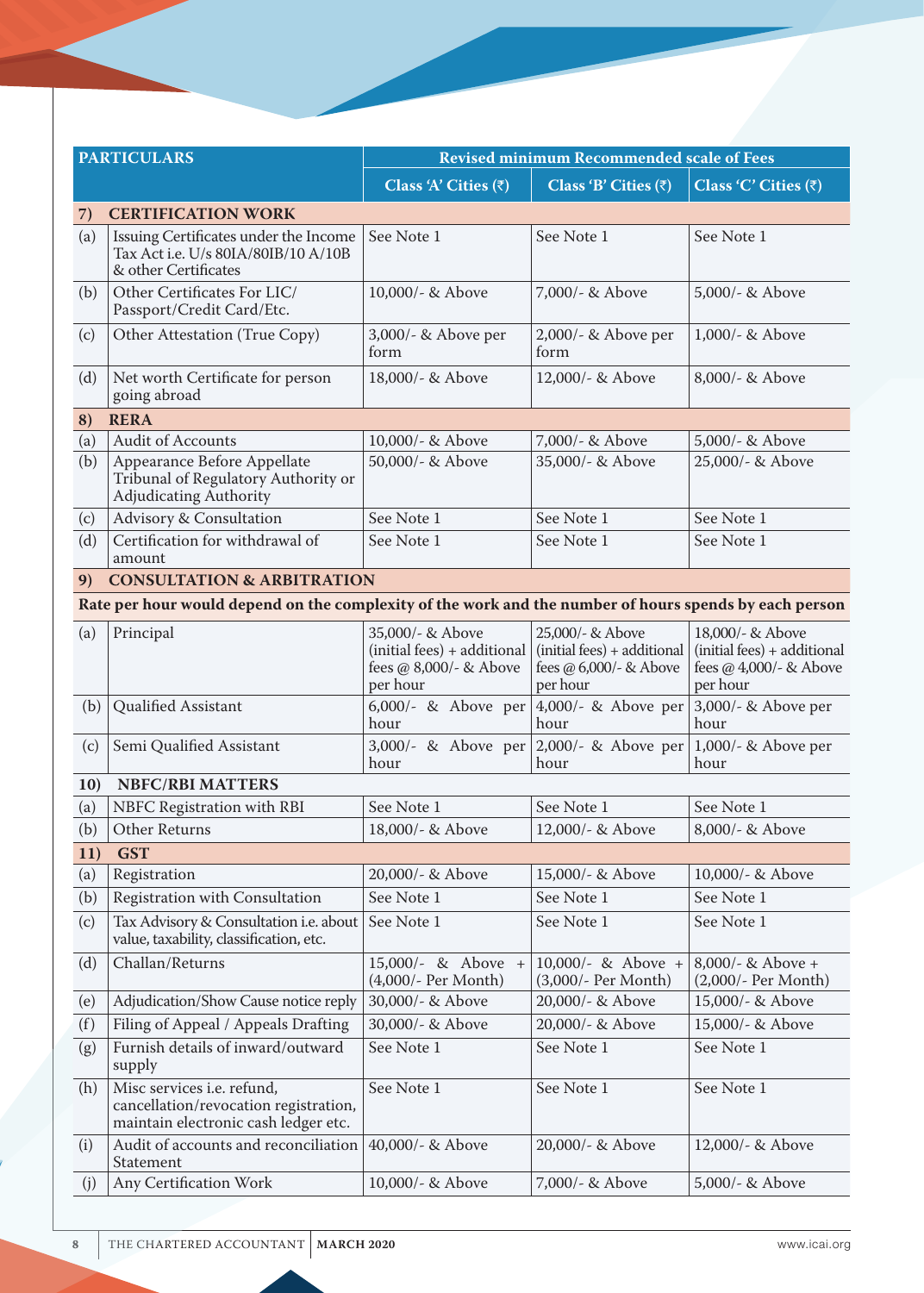| <b>PARTICULARS</b> |                                                                                                             | <b>Revised minimum Recommended scale of Fees</b>                                      |                                                                                       |                                                                                       |  |
|--------------------|-------------------------------------------------------------------------------------------------------------|---------------------------------------------------------------------------------------|---------------------------------------------------------------------------------------|---------------------------------------------------------------------------------------|--|
|                    |                                                                                                             | Class 'A' Cities $(\bar{z})$                                                          | Class 'B' Cities $(\bar{z})$                                                          | Class 'C' Cities (₹)                                                                  |  |
| 7)                 | <b>CERTIFICATION WORK</b>                                                                                   |                                                                                       |                                                                                       |                                                                                       |  |
| (a)                | Issuing Certificates under the Income<br>Tax Act i.e. U/s 80IA/80IB/10 A/10B<br>& other Certificates        | See Note 1                                                                            | See Note 1                                                                            | See Note 1                                                                            |  |
| (b)                | Other Certificates For LIC/<br>Passport/Credit Card/Etc.                                                    | 10,000/- & Above                                                                      | 7,000/- & Above                                                                       | 5,000/- & Above                                                                       |  |
| (c)                | Other Attestation (True Copy)                                                                               | 3,000/- & Above per<br>form                                                           | 2,000/- & Above per<br>form                                                           | $1,000/-$ & Above                                                                     |  |
| (d)                | Net worth Certificate for person<br>going abroad                                                            | 18,000/- & Above                                                                      | 12,000/- & Above                                                                      | 8,000/- & Above                                                                       |  |
| 8)                 | <b>RERA</b>                                                                                                 |                                                                                       |                                                                                       |                                                                                       |  |
| (a)                | Audit of Accounts                                                                                           | 10,000/- & Above                                                                      | 7,000/- & Above                                                                       | 5,000/- & Above                                                                       |  |
| (b)                | Appearance Before Appellate<br>Tribunal of Regulatory Authority or<br>Adjudicating Authority                | 50,000/- & Above                                                                      | 35,000/- & Above                                                                      | 25,000/- & Above                                                                      |  |
| (c)                | Advisory & Consultation                                                                                     | See Note 1                                                                            | See Note 1                                                                            | See Note 1                                                                            |  |
| (d)                | Certification for withdrawal of<br>amount                                                                   | See Note 1                                                                            | See Note 1                                                                            | See Note 1                                                                            |  |
| 9)                 | <b>CONSULTATION &amp; ARBITRATION</b>                                                                       |                                                                                       |                                                                                       |                                                                                       |  |
|                    | Rate per hour would depend on the complexity of the work and the number of hours spends by each person      |                                                                                       |                                                                                       |                                                                                       |  |
| (a)                | Principal                                                                                                   | 35,000/- & Above<br>(initial fees) + additional<br>fees @ 8,000/- & Above<br>per hour | 25,000/- & Above<br>(initial fees) + additional<br>fees @ 6,000/- & Above<br>per hour | 18,000/- & Above<br>(initial fees) + additional<br>fees @ 4,000/- & Above<br>per hour |  |
| (b)                | Qualified Assistant                                                                                         | 6,000/- & Above per<br>hour                                                           | 4,000/- & Above per<br>hour                                                           | 3,000/- & Above per<br>hour                                                           |  |
| (c)                | Semi Qualified Assistant                                                                                    | 3,000/- & Above per<br>hour                                                           | 2,000/- & Above per<br>hour                                                           | 1,000/- & Above per<br>hour                                                           |  |
| <b>10</b>          | <b>NBFC/RBI MATTERS</b>                                                                                     |                                                                                       |                                                                                       |                                                                                       |  |
| (a)                | NBFC Registration with RBI                                                                                  | See Note 1                                                                            | See Note 1                                                                            | See Note 1                                                                            |  |
| (b)                | <b>Other Returns</b>                                                                                        | 18,000/- & Above                                                                      | 12,000/- & Above                                                                      | 8,000/- & Above                                                                       |  |
| 11)                | <b>GST</b>                                                                                                  |                                                                                       |                                                                                       |                                                                                       |  |
| (a)                | Registration                                                                                                | 20,000/- & Above                                                                      | 15,000/- & Above                                                                      | 10,000/- & Above                                                                      |  |
| (b)                | Registration with Consultation                                                                              | See Note 1                                                                            | See Note 1                                                                            | See Note 1                                                                            |  |
| (c)                | Tax Advisory & Consultation i.e. about<br>value, taxability, classification, etc.                           | See Note 1                                                                            | See Note 1                                                                            | See Note 1                                                                            |  |
| (d)                | Challan/Returns                                                                                             | 15,000/- & Above +<br>(4,000/- Per Month)                                             | 10,000/- & Above +<br>(3,000/- Per Month)                                             | $8,000/-$ & Above +<br>(2,000/- Per Month)                                            |  |
| (e)                | Adjudication/Show Cause notice reply                                                                        | 30,000/- & Above                                                                      | 20,000/- & Above                                                                      | 15,000/- & Above                                                                      |  |
| (f)                | Filing of Appeal / Appeals Drafting                                                                         | 30,000/- & Above                                                                      | 20,000/- & Above                                                                      | 15,000/- & Above                                                                      |  |
| (g)                | Furnish details of inward/outward<br>supply                                                                 | See Note 1                                                                            | See Note 1                                                                            | See Note 1                                                                            |  |
| (h)                | Misc services i.e. refund,<br>cancellation/revocation registration,<br>maintain electronic cash ledger etc. | See Note 1                                                                            | See Note 1<br>See Note 1                                                              |                                                                                       |  |
| (i)                | Audit of accounts and reconciliation<br>Statement                                                           | 40,000/- & Above                                                                      | 20,000/- & Above                                                                      | 12,000/- & Above                                                                      |  |
| (j)                | Any Certification Work                                                                                      | 10,000/- & Above                                                                      | 7,000/- & Above                                                                       | 5,000/- & Above                                                                       |  |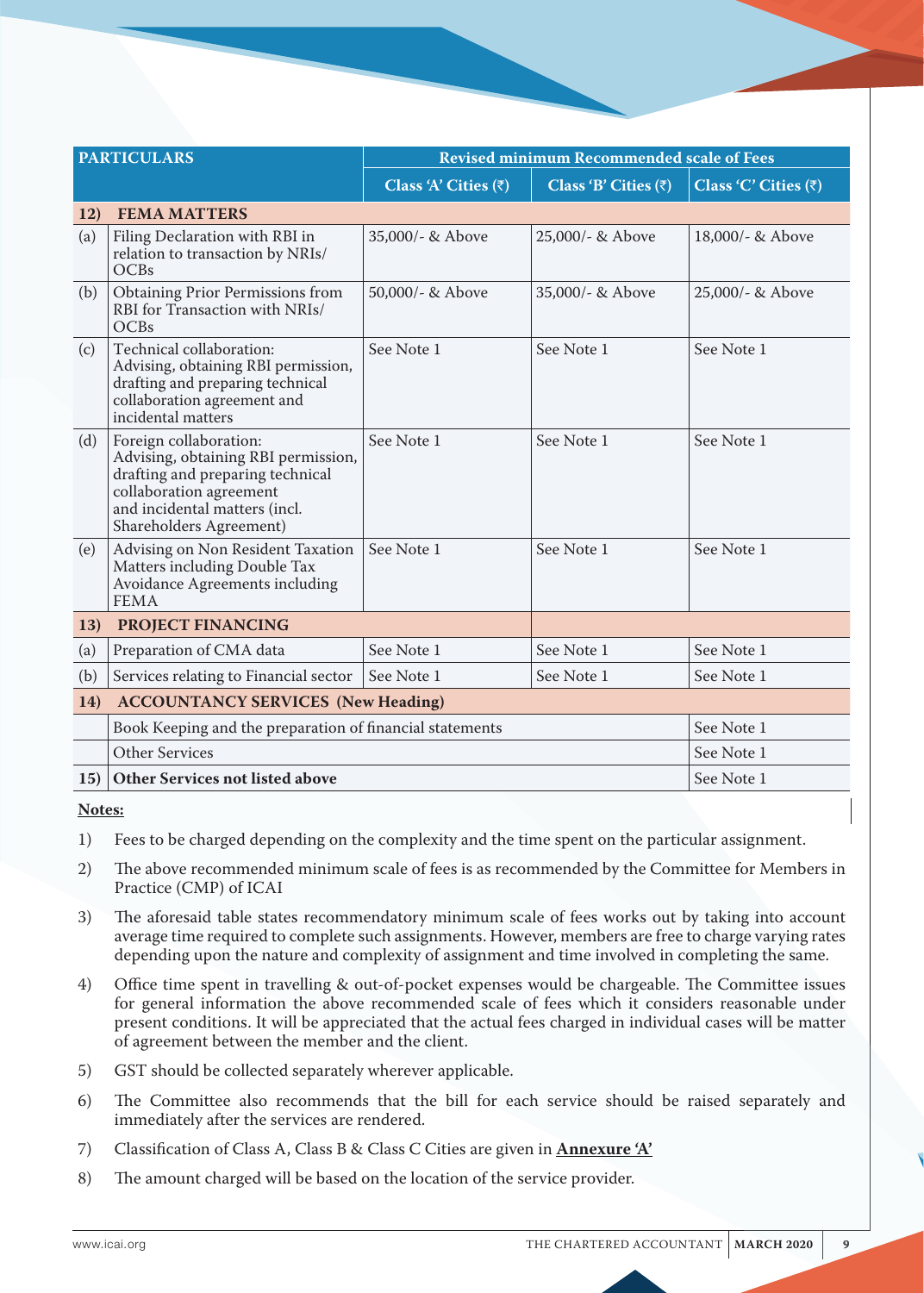|     | <b>PARTICULARS</b>                                                                                                                                                                       | <b>Revised minimum Recommended scale of Fees</b> |                              |                              |
|-----|------------------------------------------------------------------------------------------------------------------------------------------------------------------------------------------|--------------------------------------------------|------------------------------|------------------------------|
|     |                                                                                                                                                                                          | Class 'A' Cities $(\bar{z})$                     | Class 'B' Cities $(\bar{z})$ | Class 'C' Cities $(\bar{z})$ |
| 12) | <b>FEMA MATTERS</b>                                                                                                                                                                      |                                                  |                              |                              |
| (a) | Filing Declaration with RBI in<br>relation to transaction by NRIs/<br>OCBs                                                                                                               | 35,000/- & Above                                 | 25,000/- & Above             | 18,000/- & Above             |
| (b) | <b>Obtaining Prior Permissions from</b><br>RBI for Transaction with NRIs/<br>OCBs                                                                                                        | 50,000/- & Above                                 | 35,000/- & Above             | 25,000/- & Above             |
| (c) | Technical collaboration:<br>Advising, obtaining RBI permission,<br>drafting and preparing technical<br>collaboration agreement and<br>incidental matters                                 | See Note 1                                       | See Note 1                   | See Note 1                   |
| (d) | Foreign collaboration:<br>Advising, obtaining RBI permission,<br>drafting and preparing technical<br>collaboration agreement<br>and incidental matters (incl.<br>Shareholders Agreement) | See Note 1                                       | See Note 1                   | See Note 1                   |
| (e) | Advising on Non Resident Taxation<br>Matters including Double Tax<br>Avoidance Agreements including<br><b>FEMA</b>                                                                       | See Note 1                                       | See Note 1                   | See Note 1                   |
| 13) | PROJECT FINANCING                                                                                                                                                                        |                                                  |                              |                              |
| (a) | Preparation of CMA data                                                                                                                                                                  | See Note 1                                       | See Note 1                   | See Note 1                   |
| (b) | Services relating to Financial sector                                                                                                                                                    | See Note 1                                       | See Note 1                   | See Note 1                   |
| 14) | <b>ACCOUNTANCY SERVICES (New Heading)</b>                                                                                                                                                |                                                  |                              |                              |
|     | Book Keeping and the preparation of financial statements                                                                                                                                 |                                                  |                              | See Note 1                   |
|     | Other Services                                                                                                                                                                           |                                                  | See Note 1                   |                              |
| 15) | <b>Other Services not listed above</b><br>See Note 1                                                                                                                                     |                                                  |                              |                              |

**Notes:**

- 1) Fees to be charged depending on the complexity and the time spent on the particular assignment.
- 2) The above recommended minimum scale of fees is as recommended by the Committee for Members in Practice (CMP) of ICAI
- 3) The aforesaid table states recommendatory minimum scale of fees works out by taking into account average time required to complete such assignments. However, members are free to charge varying rates depending upon the nature and complexity of assignment and time involved in completing the same.
- 4) Office time spent in travelling & out-of-pocket expenses would be chargeable. The Committee issues for general information the above recommended scale of fees which it considers reasonable under present conditions. It will be appreciated that the actual fees charged in individual cases will be matter of agreement between the member and the client.
- 5) GST should be collected separately wherever applicable.
- 6) The Committee also recommends that the bill for each service should be raised separately and immediately after the services are rendered.
- 7) Classification of Class A, Class B & Class C Cities are given in **Annexure 'A'**
- 8) The amount charged will be based on the location of the service provider.